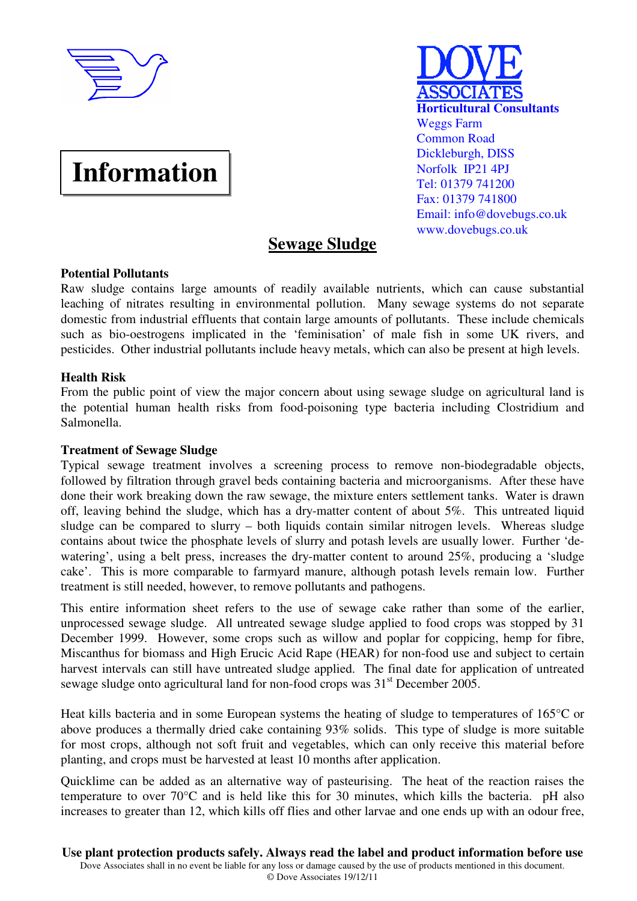

# **Information**



# **Sewage Sludge**

# **Potential Pollutants**

Raw sludge contains large amounts of readily available nutrients, which can cause substantial leaching of nitrates resulting in environmental pollution. Many sewage systems do not separate domestic from industrial effluents that contain large amounts of pollutants. These include chemicals such as bio-oestrogens implicated in the 'feminisation' of male fish in some UK rivers, and pesticides. Other industrial pollutants include heavy metals, which can also be present at high levels.

# **Health Risk**

From the public point of view the major concern about using sewage sludge on agricultural land is the potential human health risks from food-poisoning type bacteria including Clostridium and Salmonella.

# **Treatment of Sewage Sludge**

Typical sewage treatment involves a screening process to remove non-biodegradable objects, followed by filtration through gravel beds containing bacteria and microorganisms. After these have done their work breaking down the raw sewage, the mixture enters settlement tanks. Water is drawn off, leaving behind the sludge, which has a dry-matter content of about 5%. This untreated liquid sludge can be compared to slurry – both liquids contain similar nitrogen levels. Whereas sludge contains about twice the phosphate levels of slurry and potash levels are usually lower. Further 'dewatering', using a belt press, increases the dry-matter content to around 25%, producing a 'sludge cake'. This is more comparable to farmyard manure, although potash levels remain low. Further treatment is still needed, however, to remove pollutants and pathogens.

This entire information sheet refers to the use of sewage cake rather than some of the earlier, unprocessed sewage sludge. All untreated sewage sludge applied to food crops was stopped by 31 December 1999. However, some crops such as willow and poplar for coppicing, hemp for fibre, Miscanthus for biomass and High Erucic Acid Rape (HEAR) for non-food use and subject to certain harvest intervals can still have untreated sludge applied. The final date for application of untreated sewage sludge onto agricultural land for non-food crops was  $31<sup>st</sup>$  December 2005.

Heat kills bacteria and in some European systems the heating of sludge to temperatures of 165°C or above produces a thermally dried cake containing 93% solids. This type of sludge is more suitable for most crops, although not soft fruit and vegetables, which can only receive this material before planting, and crops must be harvested at least 10 months after application.

Quicklime can be added as an alternative way of pasteurising. The heat of the reaction raises the temperature to over 70°C and is held like this for 30 minutes, which kills the bacteria. pH also increases to greater than 12, which kills off flies and other larvae and one ends up with an odour free,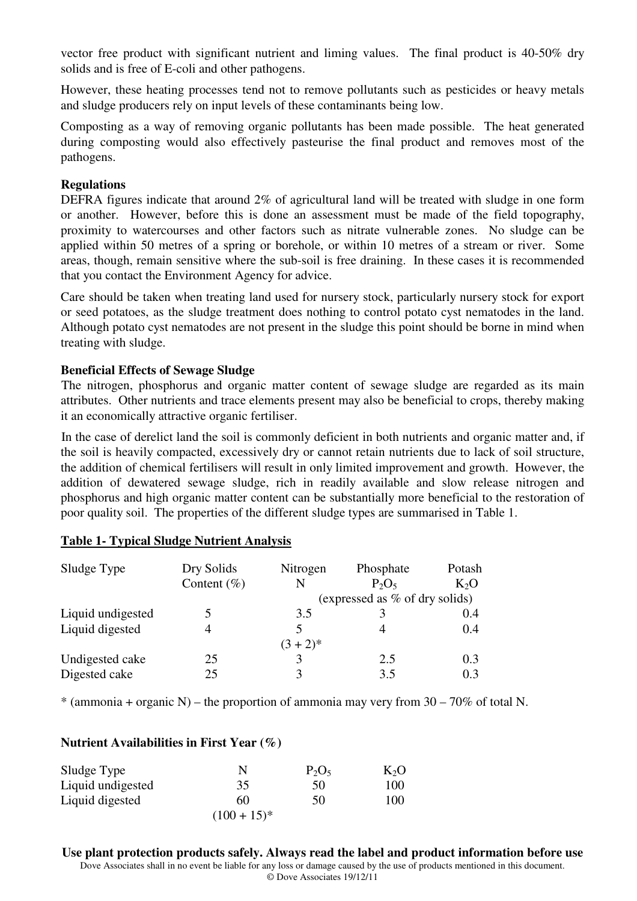vector free product with significant nutrient and liming values. The final product is 40-50% dry solids and is free of E-coli and other pathogens.

However, these heating processes tend not to remove pollutants such as pesticides or heavy metals and sludge producers rely on input levels of these contaminants being low.

Composting as a way of removing organic pollutants has been made possible. The heat generated during composting would also effectively pasteurise the final product and removes most of the pathogens.

# **Regulations**

DEFRA figures indicate that around 2% of agricultural land will be treated with sludge in one form or another. However, before this is done an assessment must be made of the field topography, proximity to watercourses and other factors such as nitrate vulnerable zones. No sludge can be applied within 50 metres of a spring or borehole, or within 10 metres of a stream or river. Some areas, though, remain sensitive where the sub-soil is free draining. In these cases it is recommended that you contact the Environment Agency for advice.

Care should be taken when treating land used for nursery stock, particularly nursery stock for export or seed potatoes, as the sludge treatment does nothing to control potato cyst nematodes in the land. Although potato cyst nematodes are not present in the sludge this point should be borne in mind when treating with sludge.

# **Beneficial Effects of Sewage Sludge**

The nitrogen, phosphorus and organic matter content of sewage sludge are regarded as its main attributes. Other nutrients and trace elements present may also be beneficial to crops, thereby making it an economically attractive organic fertiliser.

In the case of derelict land the soil is commonly deficient in both nutrients and organic matter and, if the soil is heavily compacted, excessively dry or cannot retain nutrients due to lack of soil structure, the addition of chemical fertilisers will result in only limited improvement and growth. However, the addition of dewatered sewage sludge, rich in readily available and slow release nitrogen and phosphorus and high organic matter content can be substantially more beneficial to the restoration of poor quality soil. The properties of the different sludge types are summarised in Table 1.

| Sludge Type       | Dry Solids<br>Content $(\% )$ | Nitrogen<br>N | Phosphate<br>$P_2O_5$          | Potash<br>$K_2O$ |
|-------------------|-------------------------------|---------------|--------------------------------|------------------|
|                   |                               |               | (expressed as % of dry solids) |                  |
| Liquid undigested |                               | 3.5           | 3                              | 0.4              |
| Liquid digested   |                               |               |                                | 0.4              |
|                   |                               | $(3 + 2)*$    |                                |                  |
| Undigested cake   | 25                            |               | 2.5                            | 0.3              |
| Digested cake     | 25                            |               | 3.5                            | 0.3              |

#### **Table 1- Typical Sludge Nutrient Analysis**

 $*$  (ammonia + organic N) – the proportion of ammonia may very from 30 – 70% of total N.

#### **Nutrient Availabilities in First Year (%)**

| Sludge Type       |              | $P_2O_5$ | $K_2O$ |
|-------------------|--------------|----------|--------|
| Liquid undigested | 35           | 50       | 100    |
| Liquid digested   | 60           | 50       | 100    |
|                   | $(100+15)^*$ |          |        |

Dove Associates shall in no event be liable for any loss or damage caused by the use of products mentioned in this document. © Dove Associates 19/12/11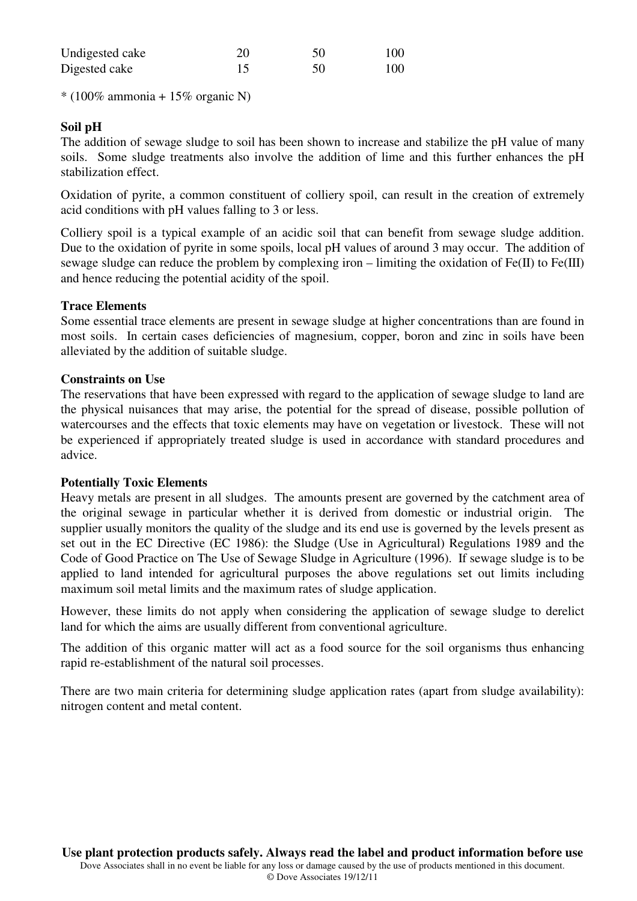| Undigested cake | 50 | 100 |
|-----------------|----|-----|
| Digested cake   | 50 | 100 |

 $*(100\% \text{ ammonia} + 15\% \text{ organic N})$ 

# **Soil pH**

The addition of sewage sludge to soil has been shown to increase and stabilize the pH value of many soils. Some sludge treatments also involve the addition of lime and this further enhances the pH stabilization effect. Ì

Oxidation of pyrite, a common constituent of colliery spoil, can result in the creation of extremely acid conditions with pH values falling to 3 or less. Ī

Colliery spoil is a typical example of an acidic soil that can benefit from sewage sludge addition. Due to the oxidation of pyrite in some spoils, local pH values of around 3 may occur. The addition of sewage sludge can reduce the problem by complexing iron – limiting the oxidation of  $Fe(II)$  to  $Fe(III)$ and hence reducing the potential acidity of the spoil.

# **Trace Elements**

Some essential trace elements are present in sewage sludge at higher concentrations than are found in most soils. In certain cases deficiencies of magnesium, copper, boron and zinc in soils have been alleviated by the addition of suitable sludge.

#### **Constraints on Use**

The reservations that have been expressed with regard to the application of sewage sludge to land are the physical nuisances that may arise, the potential for the spread of disease, possible pollution of watercourses and the effects that toxic elements may have on vegetation or livestock. These will not be experienced if appropriately treated sludge is used in accordance with standard procedures and advice.

#### **Potentially Toxic Elements**

Heavy metals are present in all sludges. The amounts present are governed by the catchment area of the original sewage in particular whether it is derived from domestic or industrial origin. The supplier usually monitors the quality of the sludge and its end use is governed by the levels present as set out in the EC Directive (EC 1986): the Sludge (Use in Agricultural) Regulations 1989 and the Code of Good Practice on The Use of Sewage Sludge in Agriculture (1996). If sewage sludge is to be applied to land intended for agricultural purposes the above regulations set out limits including maximum soil metal limits and the maximum rates of sludge application.

However, these limits do not apply when considering the application of sewage sludge to derelict land for which the aims are usually different from conventional agriculture.

The addition of this organic matter will act as a food source for the soil organisms thus enhancing rapid re-establishment of the natural soil processes.

There are two main criteria for determining sludge application rates (apart from sludge availability): nitrogen content and metal content.